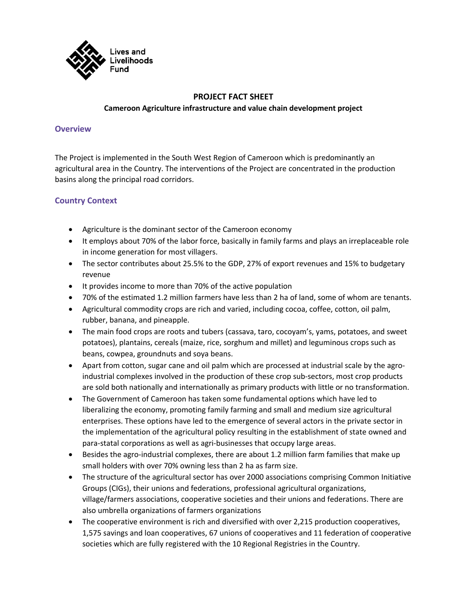

# **PROJECT FACT SHEET Cameroon Agriculture infrastructure and value chain development project**

#### **Overview**

The Project is implemented in the South West Region of Cameroon which is predominantly an agricultural area in the Country. The interventions of the Project are concentrated in the production basins along the principal road corridors.

## **Country Context**

- Agriculture is the dominant sector of the Cameroon economy
- It employs about 70% of the labor force, basically in family farms and plays an irreplaceable role in income generation for most villagers.
- The sector contributes about 25.5% to the GDP, 27% of export revenues and 15% to budgetary revenue
- It provides income to more than 70% of the active population
- 70% of the estimated 1.2 million farmers have less than 2 ha of land, some of whom are tenants.
- Agricultural commodity crops are rich and varied, including cocoa, coffee, cotton, oil palm, rubber, banana, and pineapple.
- The main food crops are roots and tubers (cassava, taro, cocoyam's, yams, potatoes, and sweet potatoes), plantains, cereals (maize, rice, sorghum and millet) and leguminous crops such as beans, cowpea, groundnuts and soya beans.
- Apart from cotton, sugar cane and oil palm which are processed at industrial scale by the agroindustrial complexes involved in the production of these crop sub-sectors, most crop products are sold both nationally and internationally as primary products with little or no transformation.
- The Government of Cameroon has taken some fundamental options which have led to liberalizing the economy, promoting family farming and small and medium size agricultural enterprises. These options have led to the emergence of several actors in the private sector in the implementation of the agricultural policy resulting in the establishment of state owned and para-statal corporations as well as agri-businesses that occupy large areas.
- Besides the agro-industrial complexes, there are about 1.2 million farm families that make up small holders with over 70% owning less than 2 ha as farm size.
- The structure of the agricultural sector has over 2000 associations comprising Common Initiative Groups (CIGs), their unions and federations, professional agricultural organizations, village/farmers associations, cooperative societies and their unions and federations. There are also umbrella organizations of farmers organizations
- The cooperative environment is rich and diversified with over 2,215 production cooperatives, 1,575 savings and loan cooperatives, 67 unions of cooperatives and 11 federation of cooperative societies which are fully registered with the 10 Regional Registries in the Country.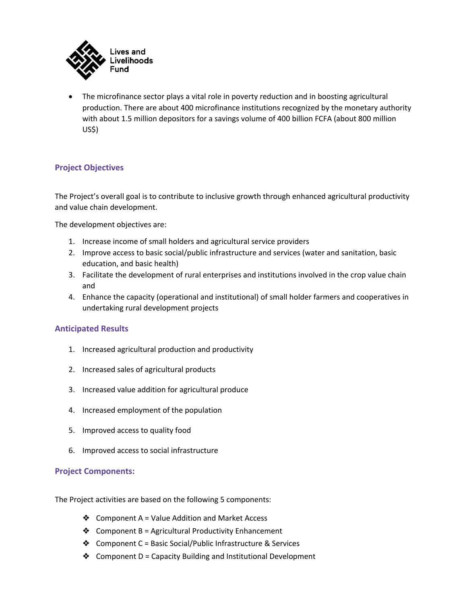

• The microfinance sector plays a vital role in poverty reduction and in boosting agricultural production. There are about 400 microfinance institutions recognized by the monetary authority with about 1.5 million depositors for a savings volume of 400 billion FCFA (about 800 million US\$)

## **Project Objectives**

The Project's overall goal is to contribute to inclusive growth through enhanced agricultural productivity and value chain development.

The development objectives are:

- 1. Increase income of small holders and agricultural service providers
- 2. Improve access to basic social/public infrastructure and services (water and sanitation, basic education, and basic health)
- 3. Facilitate the development of rural enterprises and institutions involved in the crop value chain and
- 4. Enhance the capacity (operational and institutional) of small holder farmers and cooperatives in undertaking rural development projects

#### **Anticipated Results**

- 1. Increased agricultural production and productivity
- 2. Increased sales of agricultural products
- 3. Increased value addition for agricultural produce
- 4. Increased employment of the population
- 5. Improved access to quality food
- 6. Improved access to social infrastructure

#### **Project Components:**

The Project activities are based on the following 5 components:

- ❖ Component A = Value Addition and Market Access
- $\triangleleft$  Component B = Agricultural Productivity Enhancement
- ❖ Component C = Basic Social/Public Infrastructure & Services
- ❖ Component D = Capacity Building and Institutional Development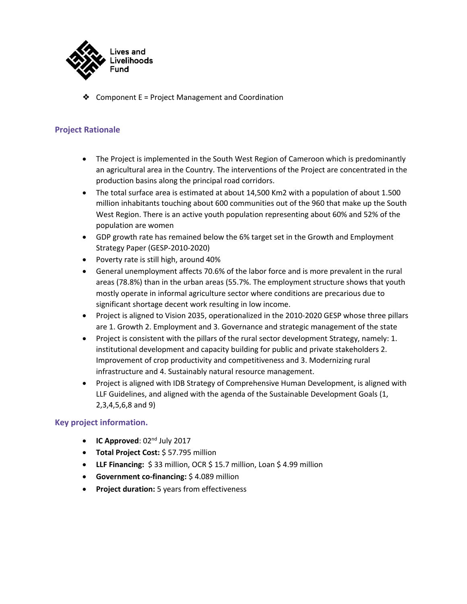

❖ Component E = Project Management and Coordination

## **Project Rationale**

- The Project is implemented in the South West Region of Cameroon which is predominantly an agricultural area in the Country. The interventions of the Project are concentrated in the production basins along the principal road corridors.
- The total surface area is estimated at about 14,500 Km2 with a population of about 1.500 million inhabitants touching about 600 communities out of the 960 that make up the South West Region. There is an active youth population representing about 60% and 52% of the population are women
- GDP growth rate has remained below the 6% target set in the Growth and Employment Strategy Paper (GESP-2010-2020)
- Poverty rate is still high, around 40%
- General unemployment affects 70.6% of the labor force and is more prevalent in the rural areas (78.8%) than in the urban areas (55.7%. The employment structure shows that youth mostly operate in informal agriculture sector where conditions are precarious due to significant shortage decent work resulting in low income.
- Project is aligned to Vision 2035, operationalized in the 2010-2020 GESP whose three pillars are 1. Growth 2. Employment and 3. Governance and strategic management of the state
- Project is consistent with the pillars of the rural sector development Strategy, namely: 1. institutional development and capacity building for public and private stakeholders 2. Improvement of crop productivity and competitiveness and 3. Modernizing rural infrastructure and 4. Sustainably natural resource management.
- Project is aligned with IDB Strategy of Comprehensive Human Development, is aligned with LLF Guidelines, and aligned with the agenda of the Sustainable Development Goals (1, 2,3,4,5,6,8 and 9)

## **Key project information.**

- **IC Approved**: 02nd July 2017
- **Total Project Cost:** \$ 57.795 million
- **LLF Financing:** \$ 33 million, OCR \$ 15.7 million, Loan \$ 4.99 million
- **Government co-financing:** \$ 4.089 million
- **Project duration:** 5 years from effectiveness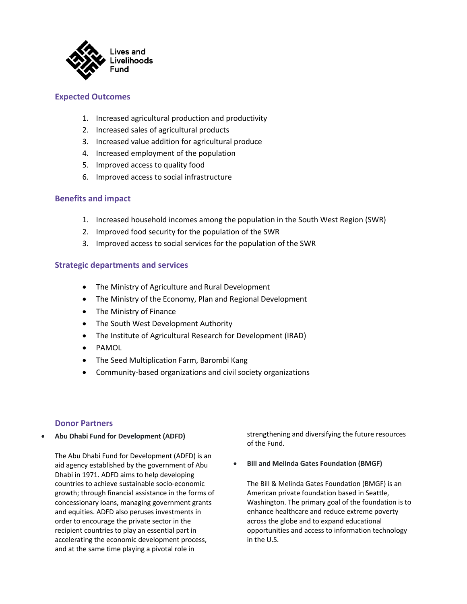

### **Expected Outcomes**

- 1. Increased agricultural production and productivity
- 2. Increased sales of agricultural products
- 3. Increased value addition for agricultural produce
- 4. Increased employment of the population
- 5. Improved access to quality food
- 6. Improved access to social infrastructure

### **Benefits and impact**

- 1. Increased household incomes among the population in the South West Region (SWR)
- 2. Improved food security for the population of the SWR
- 3. Improved access to social services for the population of the SWR

#### **Strategic departments and services**

- The Ministry of Agriculture and Rural Development
- The Ministry of the Economy, Plan and Regional Development
- The Ministry of Finance
- The South West Development Authority
- The Institute of Agricultural Research for Development (IRAD)
- PAMOL
- The Seed Multiplication Farm, Barombi Kang
- Community-based organizations and civil society organizations

#### **Donor Partners**

• **Abu Dhabi Fund for Development (ADFD)**

The Abu Dhabi Fund for Development (ADFD) is an aid agency established by the government of Abu Dhabi in 1971. ADFD aims to help developing countries to achieve sustainable socio-economic growth; through financial assistance in the forms of concessionary loans, managing government grants and equities. ADFD also peruses investments in order to encourage the private sector in the recipient countries to play an essential part in accelerating the economic development process, and at the same time playing a pivotal role in

strengthening and diversifying the future resources of the Fund.

• **Bill and Melinda Gates Foundation (BMGF)**

The Bill & Melinda Gates Foundation (BMGF) is an American private foundation based in Seattle, Washington. The primary goal of the foundation is to enhance healthcare and reduce extreme poverty across the globe and to expand educational opportunities and access to information technology in the U.S.